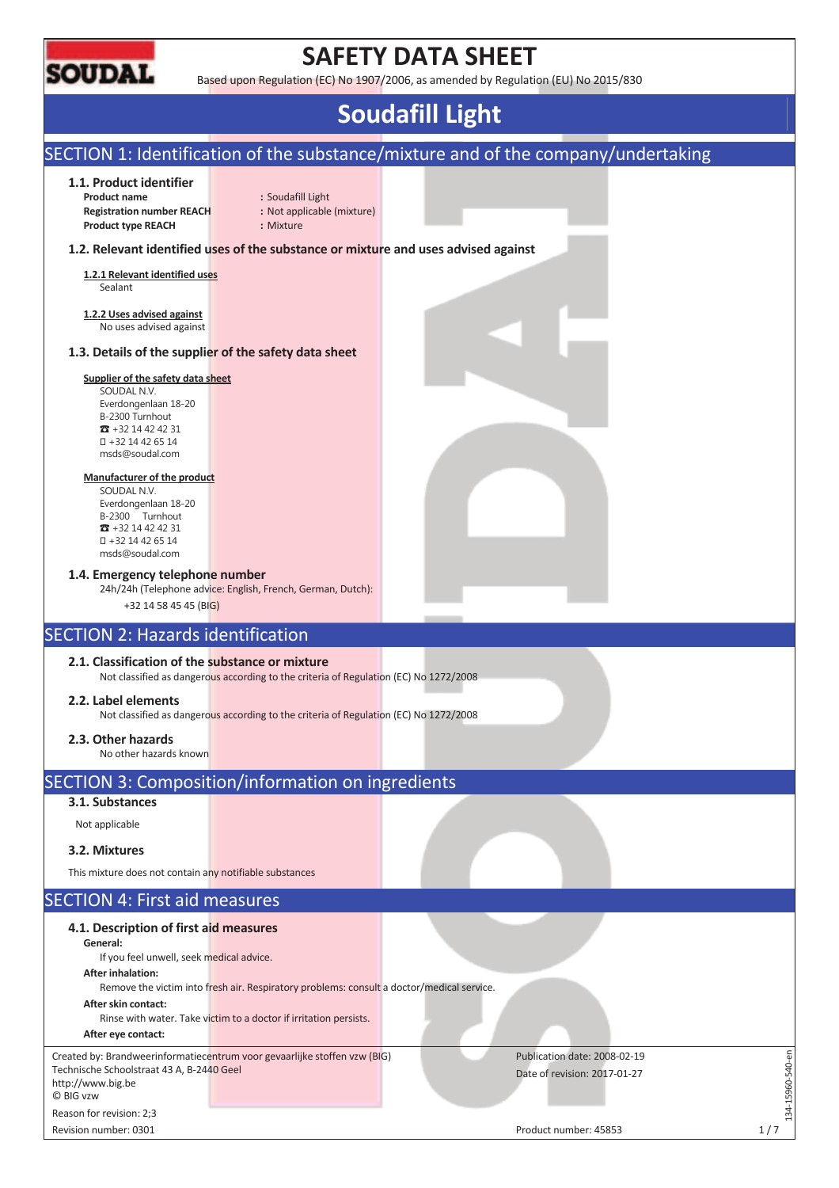

# **SAFETY DATA SHEET**

Based upon Regulation (EC) No 1907/2006, as amended by Regulation (EU) No 2015/830

# **Soudafill Light**

### SECTION 1: Identification of the substance/mixture and of the company/undertaking **1.1. Product identifier Product name :** Soudafill Light **Registration number REACH :** Not applicable (mixture) **Product type REACH :** Mixture **1.2. Relevant identified uses of the substance or mixture and uses advised against 1.2.1 Relevant identified uses**  Sealant **1.2.2 Uses advised against**  No uses advised against **1.3. Details of the supplier of the safety data sheet Supplier of the safety data sheet**  SOUDAL N.V. Everdongenlaan 18-20 B-2300 Turnhout  $\pi$  +32 14 42 42 31 +32 14 42 65 14 msds@soudal.com **Manufacturer of the product**  SOUDAL N.V. Everdongenlaan 18-20 B-2300 Turnhout  $\overline{3}$  +32 14 42 42 31 +32 14 42 65 14 msds@soudal.com **1.4. Emergency telephone number**  24h/24h (Telephone advice: English, French, German, Dutch): +32 14 58 45 45 (BIG) SECTION 2: Hazards identification **2.1. Classification of the substance or mixture**  Not classified as dangerous according to the criteria of Regulation (EC) No 1272/2008 **2.2. Label elements**  Not classified as dangerous according to the criteria of Regulation (EC) No 1272/2008 **2.3. Other hazards**  No other hazards known SECTION 3: Composition/information on ingredients **3.1. Substances**  Not applicable **3.2. Mixtures**  This mixture does not contain any notifiable substances SECTION 4: First aid measures **4.1. Description of first aid measures General:**  If you feel unwell, seek medical advice. **After inhalation:**  Remove the victim into fresh air. Respiratory problems: consult a doctor/medical service. **After skin contact:**  Rinse with water. Take victim to a doctor if irritation persists. **After eye contact:**  134-15960-540-en Created by: Brandweerinformatiecentrum voor gevaarlijke stoffen vzw (BIG) Publication date: 2008-02-19  $-15960 - 540 - en$ Technische Schoolstraat 43 A, B-2440 Geel Date of revision: 2017-01-27 http://www.big.be © BIG vzw  $-14$ Reason for revision: 2;3

Revision number: 0301 1/7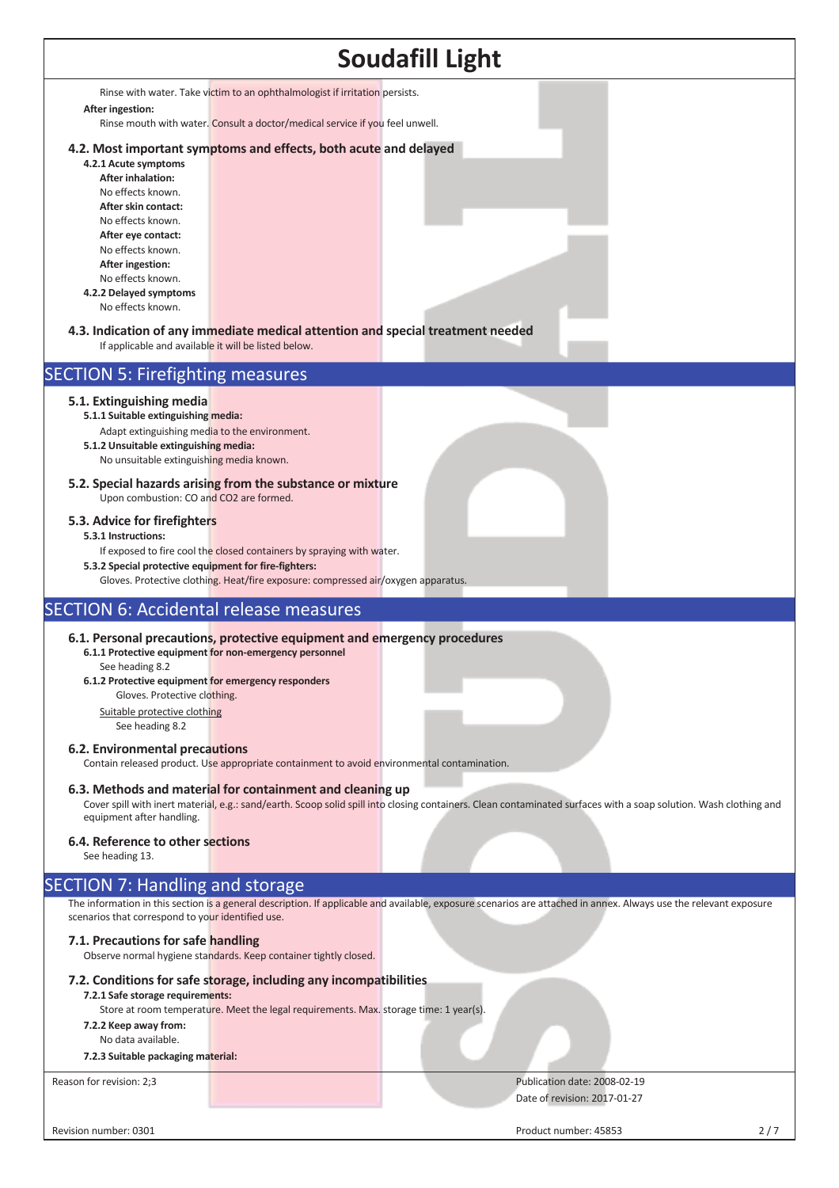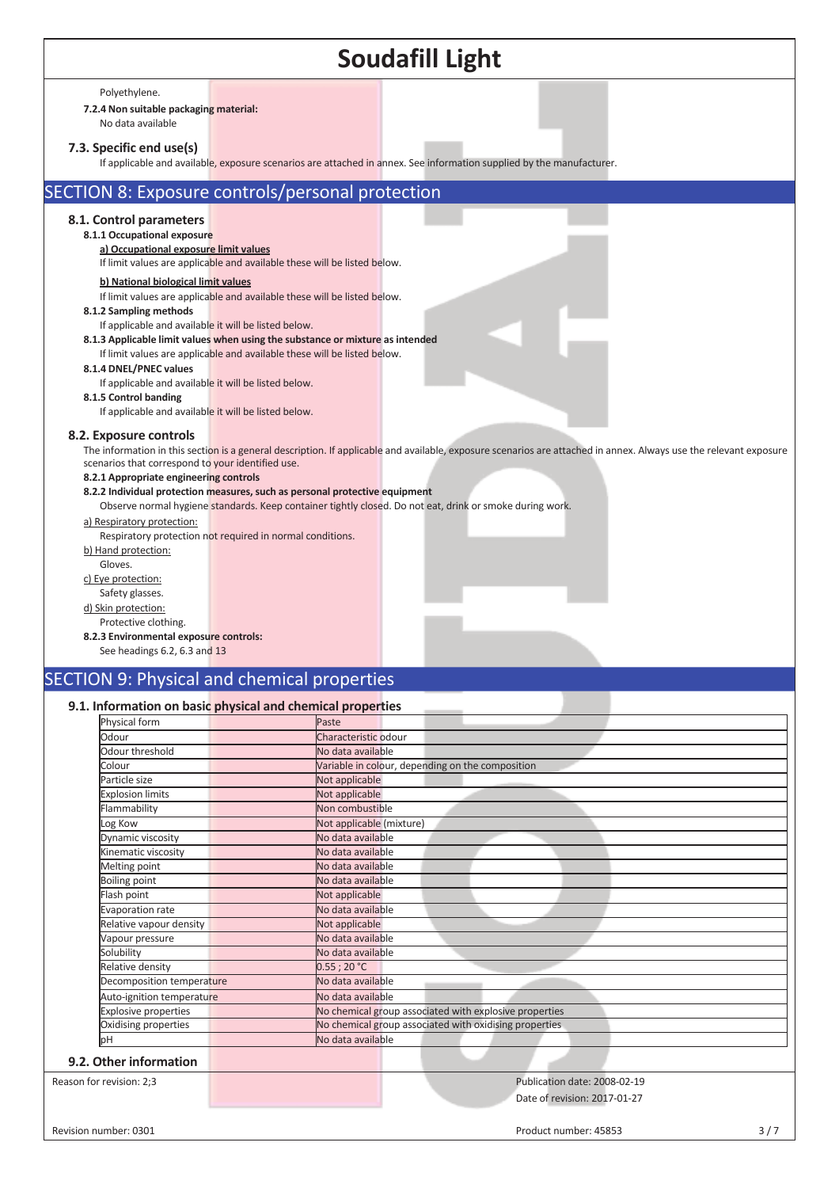Polyethylene.

### **7.2.4 Non suitable packaging material:**

No data available

#### **7.3. Specific end use(s)**

If applicable and available, exposure scenarios are attached in annex. See information supplied by the manufacturer.

### SECTION 8: Exposure controls/personal protection

#### **8.1. Control parameters**

**8.1.1 Occupational exposure** 

**a) Occupational exposure limit values**  If limit values are applicable and available these will be listed below.

## **b) National biological limit values**

If limit values are applicable and available these will be listed below. **8.1.2 Sampling methods** 

- If applicable and available it will be listed below.
- **8.1.3 Applicable limit values when using the substance or mixture as intended**
	- If limit values are applicable and available these will be listed below.

#### **8.1.4 DNEL/PNEC values**

If applicable and available it will be listed below.

#### **8.1.5 Control banding**

If applicable and available it will be listed below.

### **8.2. Exposure controls**

The information in this section is a general description. If applicable and available, exposure scenarios are attached in annex. Always use the relevant exposure scenarios that correspond to your identified use.

#### **8.2.1 Appropriate engineering controls**

**8.2.2 Individual protection measures, such as personal protective equipment**

Observe normal hygiene standards. Keep container tightly closed. Do not eat, drink or smoke during work.

#### a) Respiratory protection:

Respiratory protection not required in normal conditions. b) Hand protection:

- Gloves.
- c) Eye protection:
- Safety glasses.
- d) Skin protection:

#### Protective clothing.

#### **8.2.3 Environmental exposure controls:**

See headings 6.2, 6.3 and 13

### SECTION 9: Physical and chemical properties

### **9.1. Information on basic physical and chemical properties**

| Physical form               | Paste                                                  |
|-----------------------------|--------------------------------------------------------|
|                             |                                                        |
| Odour                       | Characteristic odour                                   |
| Odour threshold             | No data available                                      |
| Colour                      | Variable in colour, depending on the composition       |
| Particle size               | Not applicable                                         |
| <b>Explosion limits</b>     | Not applicable                                         |
| Flammability                | Non combustible                                        |
| Log Kow                     | Not applicable (mixture)                               |
| Dynamic viscosity           | No data available                                      |
| Kinematic viscosity         | No data available                                      |
| Melting point               | No data available                                      |
| <b>Boiling point</b>        | No data available                                      |
| Flash point                 | Not applicable                                         |
| Evaporation rate            | No data available                                      |
| Relative vapour density     | Not applicable                                         |
| Vapour pressure             | No data available                                      |
| Solubility                  | No data available                                      |
| Relative density            | $0.55$ ; 20 °C                                         |
| Decomposition temperature   | No data available                                      |
| Auto-ignition temperature   | No data available                                      |
| <b>Explosive properties</b> | No chemical group associated with explosive properties |
| Oxidising properties        | No chemical group associated with oxidising properties |
| bН                          | No data available                                      |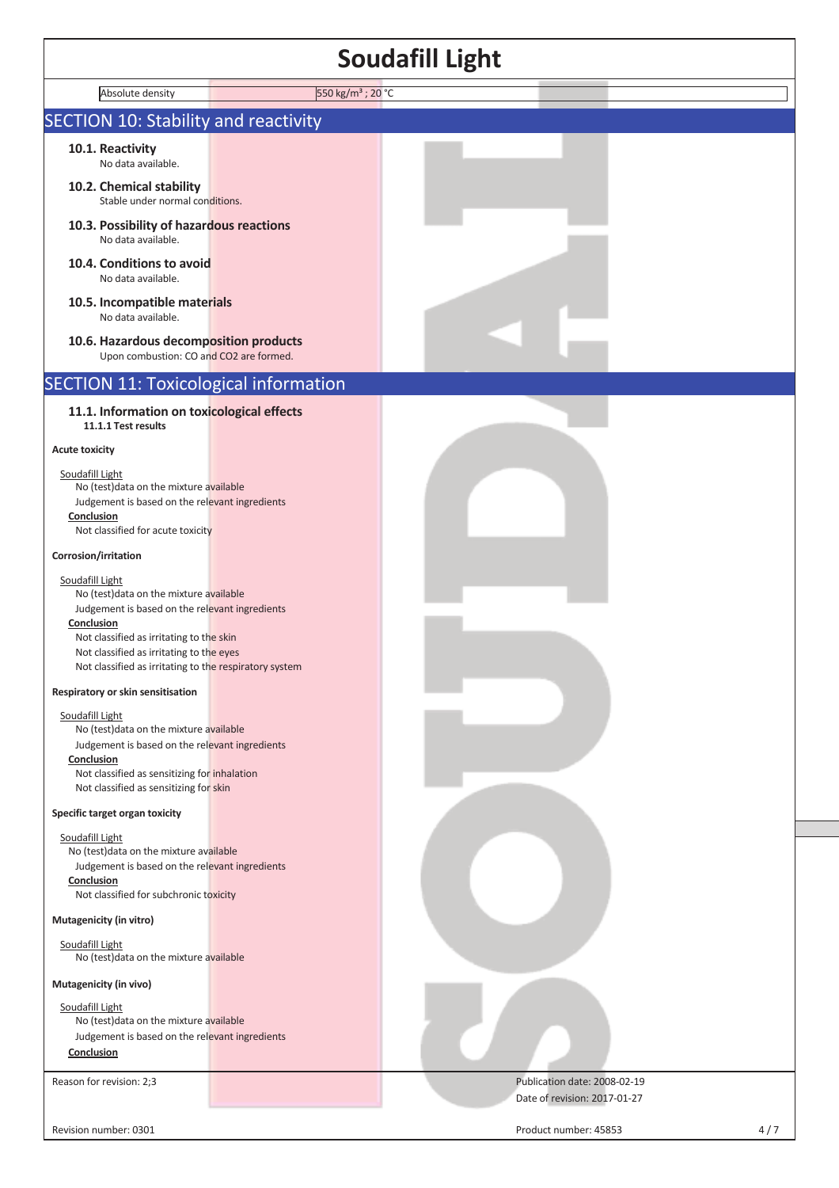| Soudafill Light                                                                                                                                                                                                                                                              |                              |  |
|------------------------------------------------------------------------------------------------------------------------------------------------------------------------------------------------------------------------------------------------------------------------------|------------------------------|--|
| 550 kg/m <sup>3</sup> ; 20 °C<br>Absolute density                                                                                                                                                                                                                            |                              |  |
| <b>SECTION 10: Stability and reactivity</b>                                                                                                                                                                                                                                  |                              |  |
| 10.1. Reactivity<br>No data available.                                                                                                                                                                                                                                       |                              |  |
| 10.2. Chemical stability<br>Stable under normal conditions.                                                                                                                                                                                                                  |                              |  |
| 10.3. Possibility of hazardous reactions<br>No data available.                                                                                                                                                                                                               |                              |  |
| 10.4. Conditions to avoid<br>No data available.                                                                                                                                                                                                                              |                              |  |
| 10.5. Incompatible materials<br>No data available.                                                                                                                                                                                                                           |                              |  |
| 10.6. Hazardous decomposition products<br>Upon combustion: CO and CO2 are formed.                                                                                                                                                                                            |                              |  |
| <b>SECTION 11: Toxicological information</b>                                                                                                                                                                                                                                 |                              |  |
| 11.1. Information on toxicological effects<br>11.1.1 Test results                                                                                                                                                                                                            |                              |  |
| <b>Acute toxicity</b>                                                                                                                                                                                                                                                        |                              |  |
| Soudafill Light<br>No (test) data on the mixture available<br>Judgement is based on the relevant ingredients<br>Conclusion<br>Not classified for acute toxicity                                                                                                              |                              |  |
| Corrosion/irritation                                                                                                                                                                                                                                                         |                              |  |
| Soudafill Light<br>No (test) data on the mixture available<br>Judgement is based on the relevant ingredients<br>Conclusion<br>Not classified as irritating to the skin<br>Not classified as irritating to the eyes<br>Not classified as irritating to the respiratory system |                              |  |
| Respiratory or skin sensitisation                                                                                                                                                                                                                                            |                              |  |
| Soudafill Light<br>No (test) data on the mixture available<br>Judgement is based on the relevant ingredients<br>Conclusion<br>Not classified as sensitizing for inhalation                                                                                                   |                              |  |
| Not classified as sensitizing for skin<br>Specific target organ toxicity                                                                                                                                                                                                     |                              |  |
| Soudafill Light<br>No (test) data on the mixture available<br>Judgement is based on the relevant ingredients<br>Conclusion<br>Not classified for subchronic toxicity<br>Mutagenicity (in vitro)                                                                              |                              |  |
| Soudafill Light<br>No (test) data on the mixture available                                                                                                                                                                                                                   |                              |  |
| Mutagenicity (in vivo)                                                                                                                                                                                                                                                       |                              |  |
| Soudafill Light<br>No (test) data on the mixture available<br>Judgement is based on the relevant ingredients<br>Conclusion                                                                                                                                                   |                              |  |
| Reason for revision: 2;3                                                                                                                                                                                                                                                     | Publication date: 2008-02-19 |  |

Revision number: 0301 4/7

 $\mathsf{l}$ 

Date of revision: 2017-01-27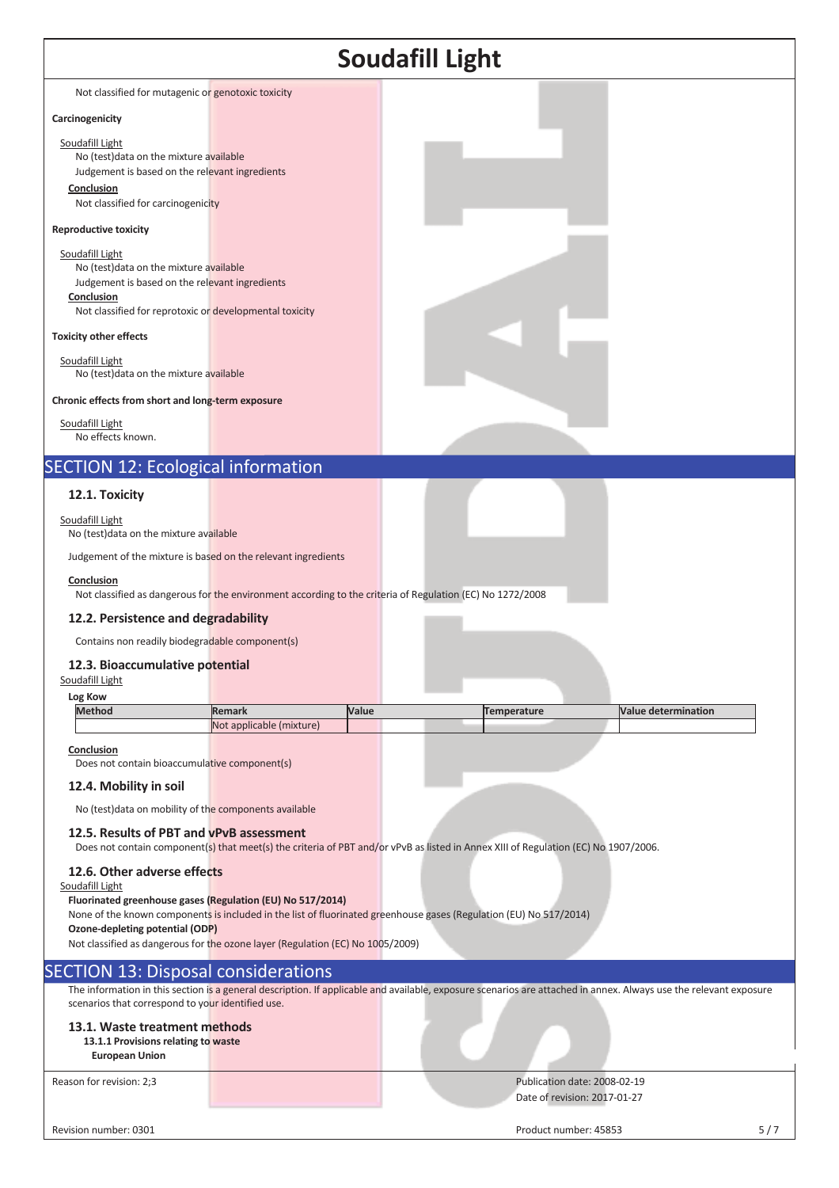|                                                                                                                                                                                                                                   |                                                                                                           |       | <b>Soudafill Light</b>                                                                                                                                            |                            |     |
|-----------------------------------------------------------------------------------------------------------------------------------------------------------------------------------------------------------------------------------|-----------------------------------------------------------------------------------------------------------|-------|-------------------------------------------------------------------------------------------------------------------------------------------------------------------|----------------------------|-----|
| Not classified for mutagenic or genotoxic toxicity                                                                                                                                                                                |                                                                                                           |       |                                                                                                                                                                   |                            |     |
| Carcinogenicity                                                                                                                                                                                                                   |                                                                                                           |       |                                                                                                                                                                   |                            |     |
| Soudafill Light<br>No (test) data on the mixture available<br>Judgement is based on the relevant ingredients<br>Conclusion<br>Not classified for carcinogenicity                                                                  |                                                                                                           |       |                                                                                                                                                                   |                            |     |
| <b>Reproductive toxicity</b>                                                                                                                                                                                                      |                                                                                                           |       |                                                                                                                                                                   |                            |     |
| Soudafill Light<br>No (test) data on the mixture available<br>Judgement is based on the relevant ingredients<br>Conclusion<br>Not classified for reprotoxic or developmental toxicity                                             |                                                                                                           |       |                                                                                                                                                                   |                            |     |
| <b>Toxicity other effects</b>                                                                                                                                                                                                     |                                                                                                           |       |                                                                                                                                                                   |                            |     |
| Soudafill Light<br>No (test) data on the mixture available                                                                                                                                                                        |                                                                                                           |       |                                                                                                                                                                   |                            |     |
| Chronic effects from short and long-term exposure                                                                                                                                                                                 |                                                                                                           |       |                                                                                                                                                                   |                            |     |
| Soudafill Light<br>No effects known.                                                                                                                                                                                              |                                                                                                           |       |                                                                                                                                                                   |                            |     |
| <b>SECTION 12: Ecological information</b>                                                                                                                                                                                         |                                                                                                           |       |                                                                                                                                                                   |                            |     |
| 12.1. Toxicity                                                                                                                                                                                                                    |                                                                                                           |       |                                                                                                                                                                   |                            |     |
| Soudafill Light<br>No (test) data on the mixture available                                                                                                                                                                        |                                                                                                           |       |                                                                                                                                                                   |                            |     |
| Judgement of the mixture is based on the relevant ingredients                                                                                                                                                                     |                                                                                                           |       |                                                                                                                                                                   |                            |     |
| Conclusion                                                                                                                                                                                                                        | Not classified as dangerous for the environment according to the criteria of Regulation (EC) No 1272/2008 |       |                                                                                                                                                                   |                            |     |
| 12.2. Persistence and degradability                                                                                                                                                                                               |                                                                                                           |       |                                                                                                                                                                   |                            |     |
| Contains non readily biodegradable component(s)                                                                                                                                                                                   |                                                                                                           |       |                                                                                                                                                                   |                            |     |
| 12.3. Bioaccumulative potential<br>Soudafill Light                                                                                                                                                                                |                                                                                                           |       |                                                                                                                                                                   |                            |     |
| Log Kow<br><b>Method</b>                                                                                                                                                                                                          | <b>Remark</b>                                                                                             | Value | <b>Temperature</b>                                                                                                                                                | <b>Value determination</b> |     |
|                                                                                                                                                                                                                                   | Not applicable (mixture)                                                                                  |       |                                                                                                                                                                   |                            |     |
| Conclusion<br>Does not contain bioaccumulative component(s)<br>12.4. Mobility in soil                                                                                                                                             |                                                                                                           |       |                                                                                                                                                                   |                            |     |
| No (test) data on mobility of the components available                                                                                                                                                                            |                                                                                                           |       |                                                                                                                                                                   |                            |     |
| 12.5. Results of PBT and vPvB assessment                                                                                                                                                                                          |                                                                                                           |       | Does not contain component(s) that meet(s) the criteria of PBT and/or vPvB as listed in Annex XIII of Regulation (EC) No 1907/2006.                               |                            |     |
| 12.6. Other adverse effects<br>Soudafill Light<br>Fluorinated greenhouse gases (Regulation (EU) No 517/2014)<br>Ozone-depleting potential (ODP)<br>Not classified as dangerous for the ozone layer (Regulation (EC) No 1005/2009) |                                                                                                           |       | None of the known components is included in the list of fluorinated greenhouse gases (Regulation (EU) No 517/2014)                                                |                            |     |
| <b>SECTION 13: Disposal considerations</b>                                                                                                                                                                                        |                                                                                                           |       |                                                                                                                                                                   |                            |     |
| scenarios that correspond to your identified use.                                                                                                                                                                                 |                                                                                                           |       | The information in this section is a general description. If applicable and available, exposure scenarios are attached in annex. Always use the relevant exposure |                            |     |
| 13.1. Waste treatment methods<br>13.1.1 Provisions relating to waste<br><b>European Union</b>                                                                                                                                     |                                                                                                           |       |                                                                                                                                                                   |                            |     |
| Reason for revision: 2;3                                                                                                                                                                                                          |                                                                                                           |       | Publication date: 2008-02-19<br>Date of revision: 2017-01-27                                                                                                      |                            |     |
| Revision number: 0301                                                                                                                                                                                                             |                                                                                                           |       | Product number: 45853                                                                                                                                             |                            | 5/7 |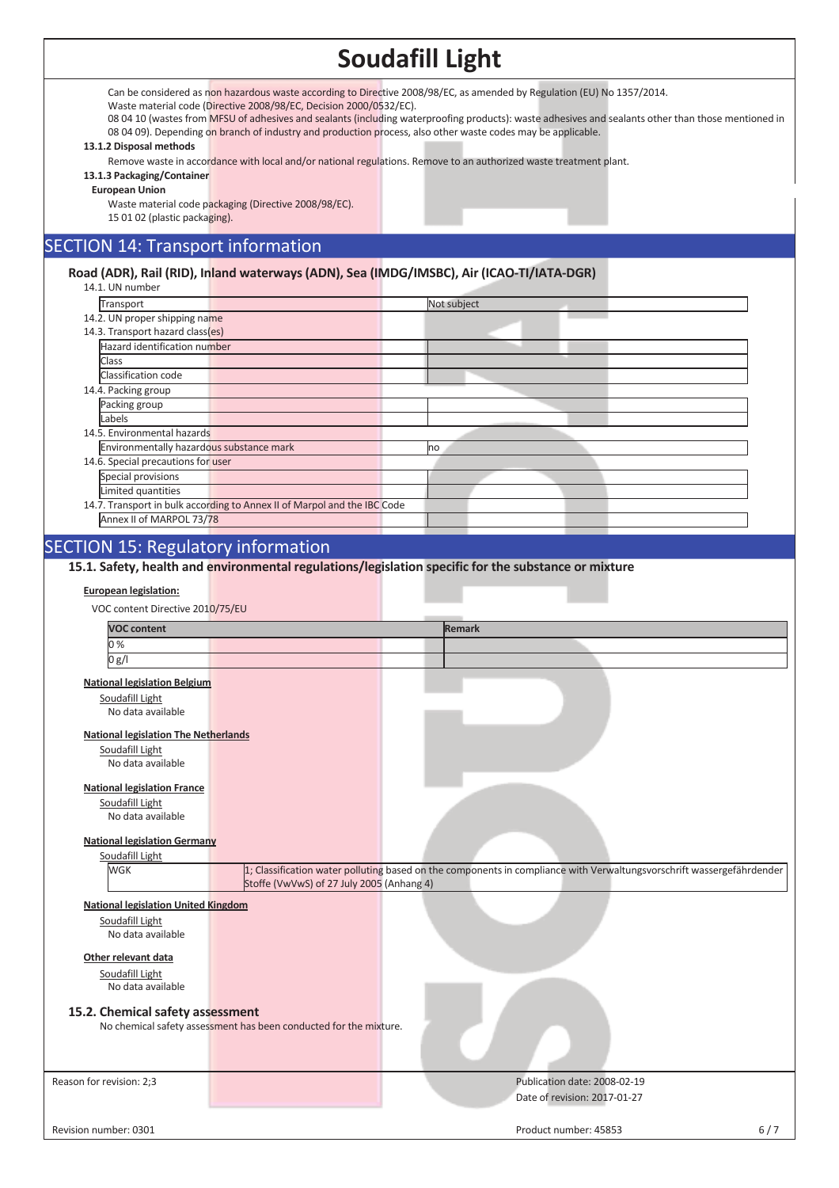Can be considered as non hazardous waste according to Directive 2008/98/EC, as amended by Regulation (EU) No 1357/2014.

Waste material code (Directive 2008/98/EC, Decision 2000/0532/EC).

08 04 10 (wastes from MFSU of adhesives and sealants (including waterproofing products): waste adhesives and sealants other than those mentioned in 08 04 09). Depending on branch of industry and production process, also other waste codes may be applicable.

#### **13.1.2 Disposal methods**

Remove waste in accordance with local and/or national regulations. Remove to an authorized waste treatment plant.

### **13.1.3 Packaging/Container**

**European Union** 

Waste material code packaging (Directive 2008/98/EC). 15 01 02 (plastic packaging).

# SECTION 14: Transport information

### **Road (ADR), Rail (RID), Inland waterways (ADN), Sea (IMDG/IMSBC), Air (ICAO-TI/IATA-DGR)**

| 14.1. UN number                                                          |             |
|--------------------------------------------------------------------------|-------------|
| Transport                                                                | Not subject |
| 14.2. UN proper shipping name                                            |             |
| 14.3. Transport hazard class(es)                                         |             |
| Hazard identification number                                             |             |
| Class                                                                    |             |
| Classification code                                                      |             |
| 14.4. Packing group                                                      |             |
| Packing group                                                            |             |
| Labels                                                                   |             |
| 14.5. Environmental hazards                                              |             |
| Environmentally hazardous substance mark                                 | no          |
| 14.6. Special precautions for user                                       |             |
| Special provisions                                                       |             |
| Limited quantities                                                       |             |
| 14.7. Transport in bulk according to Annex II of Marpol and the IBC Code |             |
| Annex II of MARPOL 73/78                                                 |             |
|                                                                          |             |

# SECTION 15: Regulatory information

**15.1. Safety, health and environmental regulations/legislation specific for the substance or mixture**

#### **European legislation:**

VOC content Directive 2010/75/EU

| <b>VOC content</b>                          |                                                                   | Remark                                                                                                                |  |
|---------------------------------------------|-------------------------------------------------------------------|-----------------------------------------------------------------------------------------------------------------------|--|
| 0%                                          |                                                                   |                                                                                                                       |  |
| 0 g/l                                       |                                                                   |                                                                                                                       |  |
| <b>National legislation Belgium</b>         |                                                                   |                                                                                                                       |  |
| Soudafill Light                             |                                                                   |                                                                                                                       |  |
| No data available                           |                                                                   |                                                                                                                       |  |
| <b>National legislation The Netherlands</b> |                                                                   |                                                                                                                       |  |
| Soudafill Light                             |                                                                   |                                                                                                                       |  |
| No data available                           |                                                                   |                                                                                                                       |  |
|                                             |                                                                   |                                                                                                                       |  |
| <b>National legislation France</b>          |                                                                   |                                                                                                                       |  |
| Soudafill Light                             |                                                                   |                                                                                                                       |  |
| No data available                           |                                                                   |                                                                                                                       |  |
| <b>National legislation Germany</b>         |                                                                   |                                                                                                                       |  |
| Soudafill Light                             |                                                                   |                                                                                                                       |  |
| <b>WGK</b>                                  |                                                                   | 1; Classification water polluting based on the components in compliance with Verwaltungsvorschrift wassergefährdender |  |
|                                             | Stoffe (VwVwS) of 27 July 2005 (Anhang 4)                         |                                                                                                                       |  |
| <b>National legislation United Kingdom</b>  |                                                                   |                                                                                                                       |  |
| Soudafill Light                             |                                                                   |                                                                                                                       |  |
| No data available                           |                                                                   |                                                                                                                       |  |
| Other relevant data                         |                                                                   |                                                                                                                       |  |
|                                             |                                                                   |                                                                                                                       |  |
| Soudafill Light<br>No data available        |                                                                   |                                                                                                                       |  |
|                                             |                                                                   |                                                                                                                       |  |
| 15.2. Chemical safety assessment            |                                                                   |                                                                                                                       |  |
|                                             | No chemical safety assessment has been conducted for the mixture. |                                                                                                                       |  |
|                                             |                                                                   |                                                                                                                       |  |
|                                             |                                                                   |                                                                                                                       |  |
| Reason for revision: 2;3                    |                                                                   | Publication date: 2008-02-19                                                                                          |  |
|                                             |                                                                   | Date of revision: 2017-01-27                                                                                          |  |
|                                             |                                                                   |                                                                                                                       |  |
| Revision number: 0301                       |                                                                   | $6/7$<br>Product number: 45853                                                                                        |  |
|                                             |                                                                   |                                                                                                                       |  |